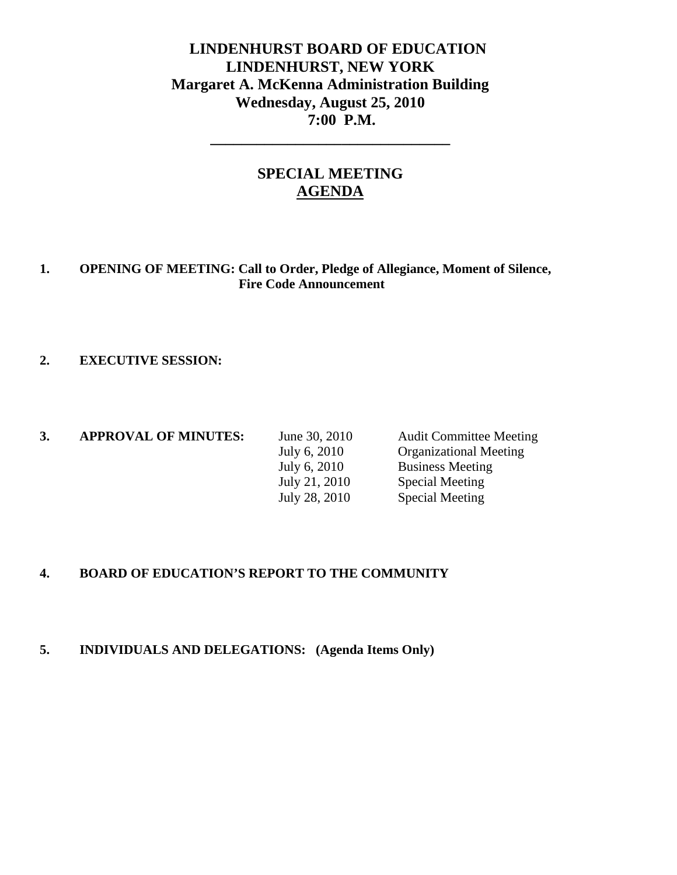# **LINDENHURST BOARD OF EDUCATION LINDENHURST, NEW YORK Margaret A. McKenna Administration Building Wednesday, August 25, 2010 7:00 P.M.**

# **SPECIAL MEETING AGENDA**

**\_\_\_\_\_\_\_\_\_\_\_\_\_\_\_\_\_\_\_\_\_\_\_\_\_\_\_\_\_\_\_** 

### **1. OPENING OF MEETING: Call to Order, Pledge of Allegiance, Moment of Silence, Fire Code Announcement**

#### **2. EXECUTIVE SESSION:**

| <b>APPROVAL OF MINUTES:</b> | June 30, 2010 | <b>Audit Committee Meeting</b> |
|-----------------------------|---------------|--------------------------------|
|                             | July 6, 2010  | <b>Organizational Meeting</b>  |
|                             | July 6, 2010  | <b>Business Meeting</b>        |
|                             | July 21, 2010 | Special Meeting                |
|                             | July 28, 2010 | <b>Special Meeting</b>         |

### **4. BOARD OF EDUCATION'S REPORT TO THE COMMUNITY**

#### **5. INDIVIDUALS AND DELEGATIONS: (Agenda Items Only)**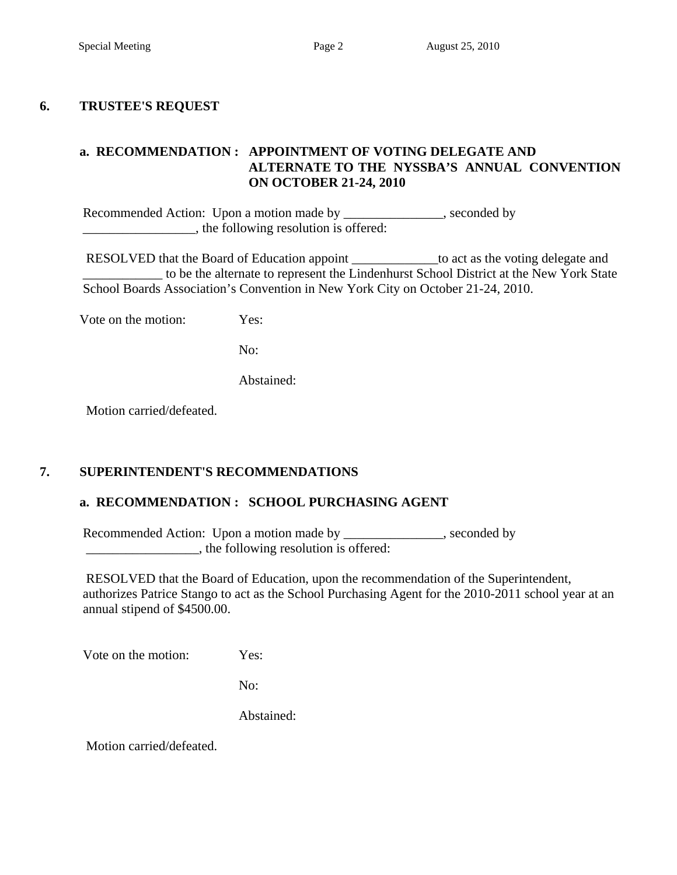#### **6. TRUSTEE'S REQUEST**

### **a. RECOMMENDATION : APPOINTMENT OF VOTING DELEGATE AND ALTERNATE TO THE NYSSBA'S ANNUAL CONVENTION ON OCTOBER 21-24, 2010**

Recommended Action: Upon a motion made by \_\_\_\_\_\_\_\_\_\_\_\_\_, seconded by  $\Box$ , the following resolution is offered:

 RESOLVED that the Board of Education appoint \_\_\_\_\_\_\_\_\_\_\_\_\_to act as the voting delegate and to be the alternate to represent the Lindenhurst School District at the New York State School Boards Association's Convention in New York City on October 21-24, 2010.

Vote on the motion: Yes:

No:

Abstained:

Motion carried/defeated.

## **7. SUPERINTENDENT'S RECOMMENDATIONS**

#### **a. RECOMMENDATION : SCHOOL PURCHASING AGENT**

Recommended Action: Upon a motion made by \_\_\_\_\_\_\_\_\_\_\_\_\_, seconded by \_\_\_\_\_\_\_\_\_\_\_\_\_\_\_\_\_, the following resolution is offered:

 RESOLVED that the Board of Education, upon the recommendation of the Superintendent, authorizes Patrice Stango to act as the School Purchasing Agent for the 2010-2011 school year at an annual stipend of \$4500.00.

Vote on the motion: Yes:

No:

Abstained: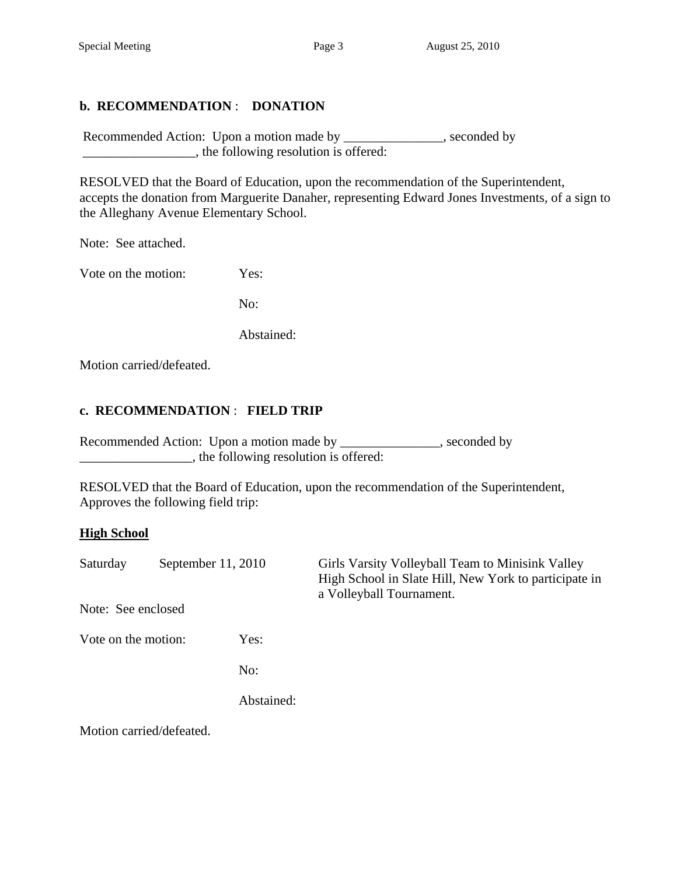## **b. RECOMMENDATION** : **DONATION**

Recommended Action: Upon a motion made by \_\_\_\_\_\_\_\_\_\_\_\_, seconded by \_\_\_\_\_\_\_\_\_\_\_\_\_\_\_\_\_, the following resolution is offered:

 RESOLVED that the Board of Education, upon the recommendation of the Superintendent, accepts the donation from Marguerite Danaher, representing Edward Jones Investments, of a sign to the Alleghany Avenue Elementary School.

Note: See attached.

Vote on the motion: Yes:

No:

Abstained:

Motion carried/defeated.

#### **c. RECOMMENDATION** : **FIELD TRIP**

Recommended Action: Upon a motion made by \_\_\_\_\_\_\_\_\_\_\_\_, seconded by \_\_\_\_\_\_\_\_\_\_\_\_\_\_\_\_\_, the following resolution is offered:

 RESOLVED that the Board of Education, upon the recommendation of the Superintendent, Approves the following field trip:

#### **High School**

| Saturday            | September $11, 2010$  |            | Girls Varsity Volleyball Team to Minisink Valley<br>High School in Slate Hill, New York to participate in<br>a Volleyball Tournament. |
|---------------------|-----------------------|------------|---------------------------------------------------------------------------------------------------------------------------------------|
| Note: See enclosed  |                       |            |                                                                                                                                       |
| Vote on the motion: |                       | Yes:       |                                                                                                                                       |
|                     |                       | No:        |                                                                                                                                       |
|                     |                       | Abstained: |                                                                                                                                       |
|                     | $\cdot$ 1/1 $\circ$ 1 |            |                                                                                                                                       |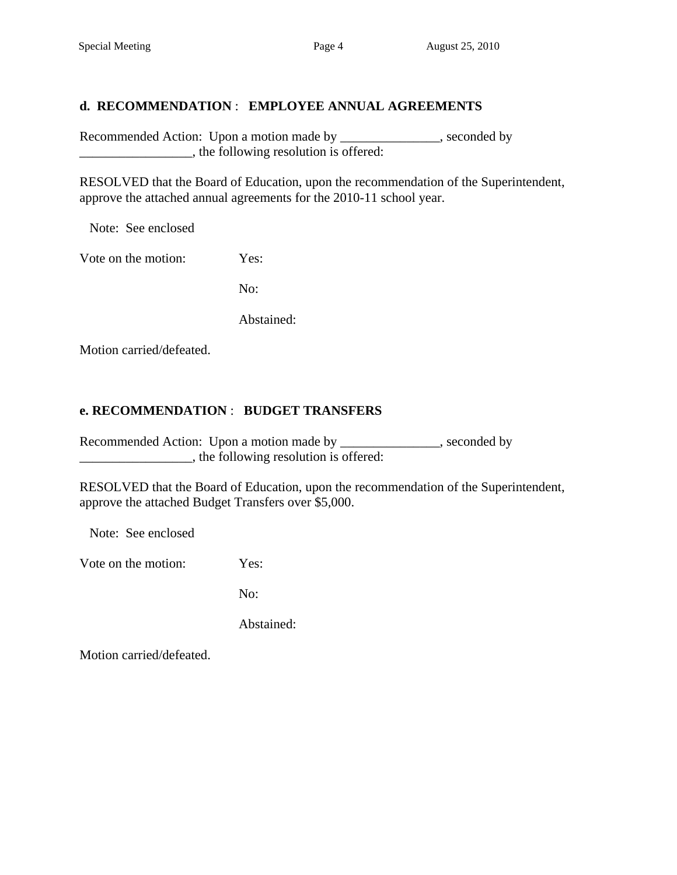## **d. RECOMMENDATION** : **EMPLOYEE ANNUAL AGREEMENTS**

Recommended Action: Upon a motion made by \_\_\_\_\_\_\_\_\_\_\_\_\_, seconded by  $\blacksquare$ , the following resolution is offered:

 RESOLVED that the Board of Education, upon the recommendation of the Superintendent, approve the attached annual agreements for the 2010-11 school year.

Note: See enclosed

Vote on the motion: Yes:

No:

Abstained:

Motion carried/defeated.

### **e. RECOMMENDATION** : **BUDGET TRANSFERS**

Recommended Action: Upon a motion made by \_\_\_\_\_\_\_\_\_\_\_\_, seconded by \_\_\_\_\_\_\_\_\_\_\_\_\_\_\_\_\_, the following resolution is offered:

 RESOLVED that the Board of Education, upon the recommendation of the Superintendent, approve the attached Budget Transfers over \$5,000.

Note: See enclosed

Vote on the motion: Yes:

No:

Abstained: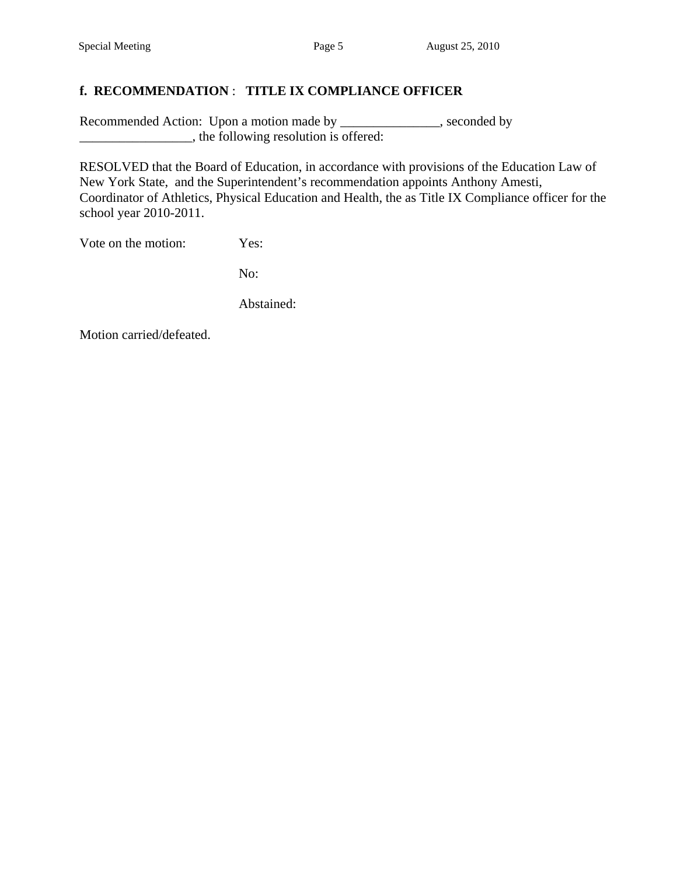## **f. RECOMMENDATION** : **TITLE IX COMPLIANCE OFFICER**

Recommended Action: Upon a motion made by \_\_\_\_\_\_\_\_\_\_\_\_\_, seconded by \_\_\_\_\_\_\_\_\_\_\_\_\_\_\_\_\_\_\_, the following resolution is offered:

 RESOLVED that the Board of Education, in accordance with provisions of the Education Law of New York State, and the Superintendent's recommendation appoints Anthony Amesti, Coordinator of Athletics, Physical Education and Health, the as Title IX Compliance officer for the school year 2010-2011.

Vote on the motion: Yes:

No:

Abstained: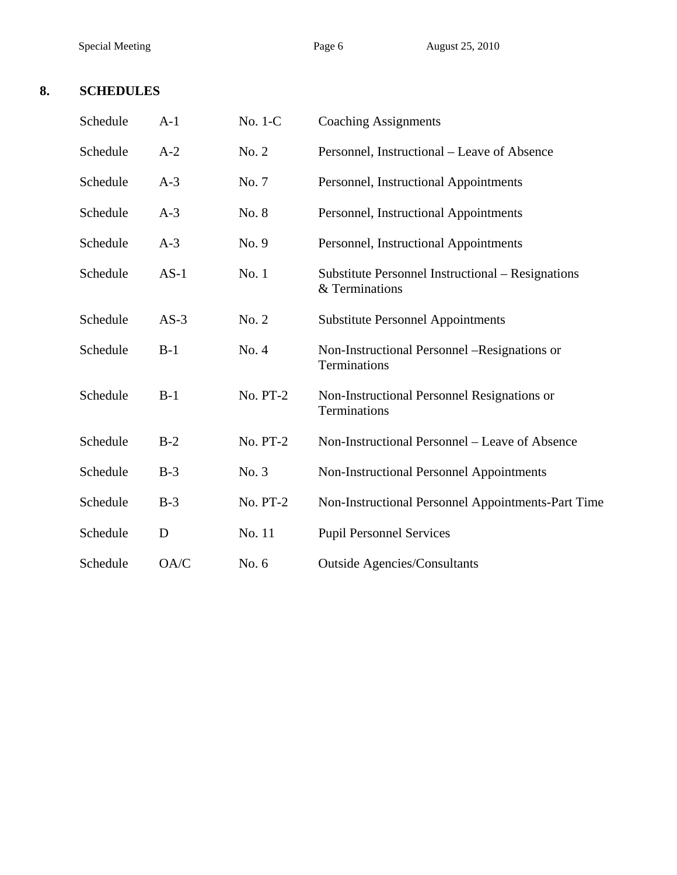# **8. SCHEDULES**

| Schedule | $A-1$  | No. 1-C         | <b>Coaching Assignments</b>                                         |
|----------|--------|-----------------|---------------------------------------------------------------------|
| Schedule | $A-2$  | No. 2           | Personnel, Instructional - Leave of Absence                         |
| Schedule | $A-3$  | No. 7           | Personnel, Instructional Appointments                               |
| Schedule | $A-3$  | No. 8           | Personnel, Instructional Appointments                               |
| Schedule | $A-3$  | No. 9           | Personnel, Instructional Appointments                               |
| Schedule | $AS-1$ | No. 1           | Substitute Personnel Instructional - Resignations<br>& Terminations |
| Schedule | $AS-3$ | No. 2           | <b>Substitute Personnel Appointments</b>                            |
| Schedule | $B-1$  | No. 4           | Non-Instructional Personnel -Resignations or<br>Terminations        |
| Schedule | $B-1$  | <b>No. PT-2</b> | Non-Instructional Personnel Resignations or<br>Terminations         |
| Schedule | $B-2$  | <b>No. PT-2</b> | Non-Instructional Personnel – Leave of Absence                      |
| Schedule | $B-3$  | No. 3           | Non-Instructional Personnel Appointments                            |
| Schedule | $B-3$  | No. PT-2        | Non-Instructional Personnel Appointments-Part Time                  |
| Schedule | D      | No. 11          | <b>Pupil Personnel Services</b>                                     |
| Schedule | OA/C   | No. 6           | <b>Outside Agencies/Consultants</b>                                 |